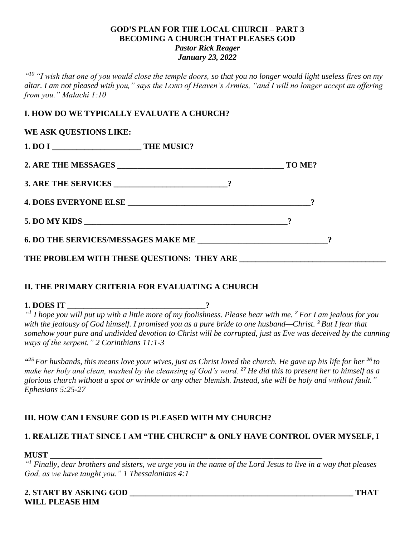#### **GOD'S PLAN FOR THE LOCAL CHURCH – PART 3 BECOMING A CHURCH THAT PLEASES GOD** *Pastor Rick Reager January 23, 2022*

*" <sup>10</sup> "I wish that one of you would close the temple doors, so that you no longer would light useless fires on my altar. I am not pleased with you," says the LORD of Heaven's Armies, "and I will no longer accept an offering from you." Malachi 1:10*

### **I. HOW DO WE TYPICALLY EVALUATE A CHURCH?**

| WE ASK QUESTIONS LIKE: |  |        |  |
|------------------------|--|--------|--|
|                        |  |        |  |
|                        |  | TO ME? |  |
|                        |  |        |  |
|                        |  |        |  |
|                        |  |        |  |
|                        |  |        |  |
|                        |  |        |  |

#### **II. THE PRIMARY CRITERIA FOR EVALUATING A CHURCH**

**1. DOES IT \_\_\_\_\_\_\_\_\_\_\_\_\_\_\_\_\_\_\_\_\_\_\_\_\_\_\_\_\_\_\_\_\_\_?**

*" 1 I hope you will put up with a little more of my foolishness. Please bear with me. <sup>2</sup> For I am jealous for you with the jealousy of God himself. I promised you as a pure bride to one husband—Christ. <sup>3</sup> But I fear that somehow your pure and undivided devotion to Christ will be corrupted, just as Eve was deceived by the cunning ways of the serpent." 2 Corinthians 11:1-3*

*" <sup>25</sup> For husbands, this means love your wives, just as Christ loved the church. He gave up his life for her <sup>26</sup> to make her holy and clean, washed by the cleansing of God's word. <sup>27</sup> He did this to present her to himself as a glorious church without a spot or wrinkle or any other blemish. Instead, she will be holy and without fault." Ephesians 5:25-27*

### **III. HOW CAN I ENSURE GOD IS PLEASED WITH MY CHURCH?**

### **1. REALIZE THAT SINCE I AM "THE CHURCH" & ONLY HAVE CONTROL OVER MYSELF, I**

#### **MUST \_\_\_\_\_\_\_\_\_\_\_\_\_\_\_\_\_\_\_\_\_\_\_\_\_\_\_\_\_\_\_\_\_\_\_\_\_\_\_\_\_\_\_\_\_\_\_\_\_\_\_\_\_\_\_\_\_\_\_\_\_\_\_\_\_\_\_**

*" <sup>1</sup> Finally, dear brothers and sisters, we urge you in the name of the Lord Jesus to live in a way that pleases God, as we have taught you." 1 Thessalonians 4:1*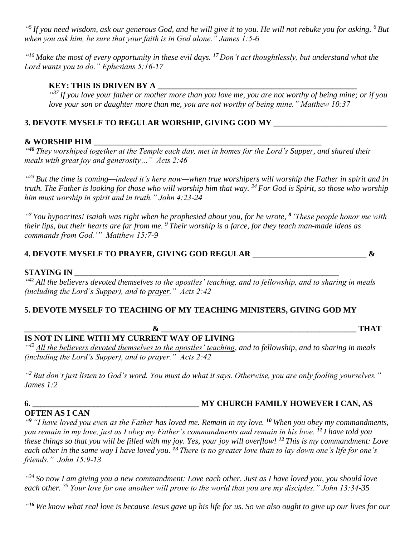*" 5 If you need wisdom, ask our generous God, and he will give it to you. He will not rebuke you for asking. <sup>6</sup> But when you ask him, be sure that your faith is in God alone." James 1:5-6*

*" <sup>16</sup> Make the most of every opportunity in these evil days. <sup>17</sup> Don't act thoughtlessly, but understand what the Lord wants you to do." Ephesians 5:16-17*

#### **KEY: THIS IS DRIVEN BY A**

*" <sup>37</sup> If you love your father or mother more than you love me, you are not worthy of being mine; or if you love your son or daughter more than me, you are not worthy of being mine." Matthew 10:37*

## **3. DEVOTE MYSELF TO REGULAR WORSHIP, GIVING GOD MY \_\_\_\_\_\_\_\_\_\_\_\_\_\_\_\_\_\_\_\_\_\_\_\_\_\_\_\_**

#### **& WORSHIP HIM \_\_\_\_\_\_\_\_\_\_\_\_\_\_\_\_\_\_\_\_\_\_\_\_\_\_\_\_\_\_\_\_\_\_\_\_\_\_\_\_\_\_\_\_\_\_\_\_\_\_\_\_\_\_\_\_**

*" <sup>46</sup> They worshiped together at the Temple each day, met in homes for the Lord's Supper, and shared their meals with great joy and generosity…" Acts 2:46*

*" <sup>23</sup> But the time is coming—indeed it's here now—when true worshipers will worship the Father in spirit and in truth. The Father is looking for those who will worship him that way. <sup>24</sup> For God is Spirit, so those who worship him must worship in spirit and in truth." John 4:23-24*

*" <sup>7</sup> You hypocrites! Isaiah was right when he prophesied about you, for he wrote, <sup>8</sup> 'These people honor me with their lips, but their hearts are far from me. <sup>9</sup> Their worship is a farce, for they teach man-made ideas as commands from God.'" Matthew 15:7-9*

#### **4. DEVOTE MYSELF TO PRAYER, GIVING GOD REGULAR \_\_\_\_\_\_\_\_\_\_\_\_\_\_\_\_\_\_\_\_\_\_\_\_\_\_\_\_ &**

#### **STAYING IN \_\_\_\_\_\_\_\_\_\_\_\_\_\_\_\_\_\_\_\_\_\_\_\_\_\_\_\_\_\_\_\_\_\_\_\_\_\_\_\_\_\_\_\_\_\_\_\_\_\_\_\_\_\_\_\_\_\_\_\_\_\_\_\_\_**

<sup>442</sup> All the believers devoted themselves to the apostles' teaching, and to fellowship, and to sharing in meals *(including the Lord's Supper), and to prayer." Acts 2:42*

### **5. DEVOTE MYSELF TO TEACHING OF MY TEACHING MINISTERS, GIVING GOD MY**

 $\&$  **THAT** 

# **IS NOT IN LINE WITH MY CURRENT WAY OF LIVING**

<sup>442</sup> All the believers devoted themselves to the apostles' teaching, and to fellowship, and to sharing in meals *(including the Lord's Supper), and to prayer." Acts 2:42*

*" <sup>2</sup> But don't just listen to God's word. You must do what it says. Otherwise, you are only fooling yourselves." James 1:2*

# **OFTEN AS I CAN**

### **6. \_\_\_\_\_\_\_\_\_\_\_\_\_\_\_\_\_\_\_\_\_\_\_\_\_\_\_\_\_\_\_\_\_\_\_\_\_\_\_\_\_ MY CHURCH FAMILY HOWEVER I CAN, AS**

*" <sup>9</sup> "I have loved you even as the Father has loved me. Remain in my love. <sup>10</sup> When you obey my commandments, you remain in my love, just as I obey my Father's commandments and remain in his love. <sup>11</sup> I have told you these things so that you will be filled with my joy. Yes, your joy will overflow! <sup>12</sup> This is my commandment: Love each other in the same way I have loved you. <sup>13</sup> There is no greater love than to lay down one's life for one's friends." John 15:9-13*

*" <sup>34</sup> So now I am giving you a new commandment: Love each other. Just as I have loved you, you should love each other. <sup>35</sup> Your love for one another will prove to the world that you are my disciples." John 13:34-35*

*" <sup>16</sup> We know what real love is because Jesus gave up his life for us. So we also ought to give up our lives for our*